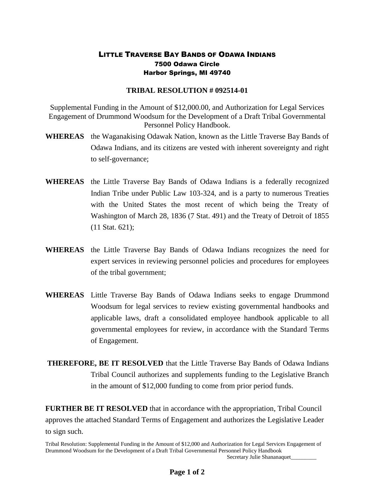## LITTLE TRAVERSE BAY BANDS OF ODAWA INDIANS 7500 Odawa Circle Harbor Springs, MI 49740

## **TRIBAL RESOLUTION # 092514-01**

Supplemental Funding in the Amount of \$12,000.00, and Authorization for Legal Services Engagement of Drummond Woodsum for the Development of a Draft Tribal Governmental Personnel Policy Handbook.

- **WHEREAS** the Waganakising Odawak Nation, known as the Little Traverse Bay Bands of Odawa Indians, and its citizens are vested with inherent sovereignty and right to self-governance;
- **WHEREAS** the Little Traverse Bay Bands of Odawa Indians is a federally recognized Indian Tribe under Public Law 103-324, and is a party to numerous Treaties with the United States the most recent of which being the Treaty of Washington of March 28, 1836 (7 Stat. 491) and the Treaty of Detroit of 1855 (11 Stat. 621);
- **WHEREAS** the Little Traverse Bay Bands of Odawa Indians recognizes the need for expert services in reviewing personnel policies and procedures for employees of the tribal government;
- **WHEREAS** Little Traverse Bay Bands of Odawa Indians seeks to engage Drummond Woodsum for legal services to review existing governmental handbooks and applicable laws, draft a consolidated employee handbook applicable to all governmental employees for review, in accordance with the Standard Terms of Engagement.

**THEREFORE, BE IT RESOLVED** that the Little Traverse Bay Bands of Odawa Indians Tribal Council authorizes and supplements funding to the Legislative Branch in the amount of \$12,000 funding to come from prior period funds.

**FURTHER BE IT RESOLVED** that in accordance with the appropriation, Tribal Council approves the attached Standard Terms of Engagement and authorizes the Legislative Leader to sign such.

Tribal Resolution: Supplemental Funding in the Amount of \$12,000 and Authorization for Legal Services Engagement of Drummond Woodsum for the Development of a Draft Tribal Governmental Personnel Policy Handbook Secretary Julie Shananaquet\_\_\_\_\_\_\_\_\_